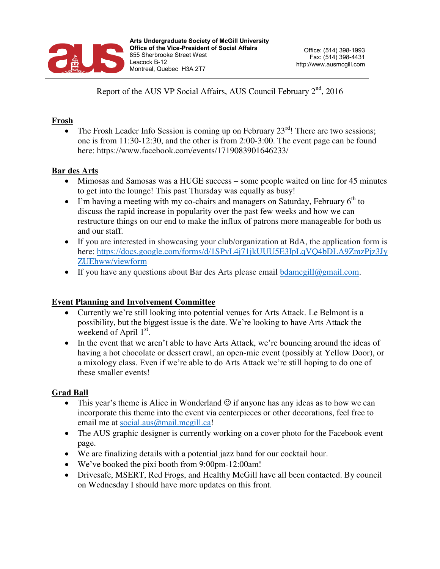

Report of the AUS VP Social Affairs, AUS Council February 2<sup>nd</sup>, 2016

## **Frosh**

The Frosh Leader Info Session is coming up on February  $23<sup>rd</sup>$ ! There are two sessions; one is from 11:30-12:30, and the other is from 2:00-3:00. The event page can be found here: https://www.facebook.com/events/1719083901646233/

## **Bar des Arts**

- Mimosas and Samosas was a HUGE success some people waited on line for 45 minutes to get into the lounge! This past Thursday was equally as busy!
- I'm having a meeting with my co-chairs and managers on Saturday, February  $6<sup>th</sup>$  to discuss the rapid increase in popularity over the past few weeks and how we can restructure things on our end to make the influx of patrons more manageable for both us and our staff.
- If you are interested in showcasing your club/organization at BdA, the application form is here: [https://docs.google.com/forms/d/1SPvL4j71jkUUU5E3IpLqVQ4bDLA9ZmzPjz3Jy](https://docs.google.com/forms/d/1SPvL4j71jkUUU5E3IpLqVQ4bDLA9ZmzPjz3JyZUEhww/viewform) [ZUEhww/viewform](https://docs.google.com/forms/d/1SPvL4j71jkUUU5E3IpLqVQ4bDLA9ZmzPjz3JyZUEhww/viewform)
- If you have any questions about Bar des Arts please email  $\frac{1}{\text{diamegill}(\omega)}$  mail.com.

## **Event Planning and Involvement Committee**

- Currently we're still looking into potential venues for Arts Attack. Le Belmont is a possibility, but the biggest issue is the date. We're looking to have Arts Attack the weekend of April 1<sup>st</sup>.
- In the event that we aren't able to have Arts Attack, we're bouncing around the ideas of having a hot chocolate or dessert crawl, an open-mic event (possibly at Yellow Door), or a mixology class. Even if we're able to do Arts Attack we're still hoping to do one of these smaller events!

## **Grad Ball**

- This year's theme is Alice in Wonderland  $\odot$  if anyone has any ideas as to how we can incorporate this theme into the event via centerpieces or other decorations, feel free to email me at [social.aus@mail.mcgill.ca!](mailto:social.aus@mail.mcgill.ca)
- The AUS graphic designer is currently working on a cover photo for the Facebook event page.
- We are finalizing details with a potential jazz band for our cocktail hour.
- We've booked the pixi booth from 9:00pm-12:00am!
- Drivesafe, MSERT, Red Frogs, and Healthy McGill have all been contacted. By council on Wednesday I should have more updates on this front.